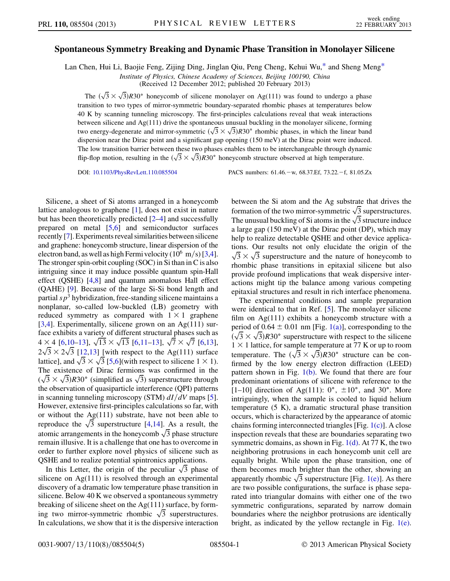## <span id="page-0-0"></span>Spontaneous Symmetry Breaking and Dynamic Phase Transition in Monolayer Silicene

Lan Chen, Hui Li, Baojie Feng, Zijing Ding, Jinglan Qiu, Peng Cheng, Kehui Wu,[\\*](#page-4-0) and Sheng Meng[\\*](#page-4-0)

Institute of Physics, Chinese Academy of Sciences, Beijing 100190, China

(Received 12 December 2012; published 20 February 2013)

The  $(\sqrt{3} \times \sqrt{3})R30^{\circ}$  honeycomb of silicene monolayer on Ag(111) was found to undergo a phase transition to two types of mirror-symmetric boundary-separated rhombic phases at temperatures below 40 K by scanning tunneling microscopy. The first-principles calculations reveal that weak interactions between silicene and Ag(111) drive the spontaneous unusual buckling in the monolayer silicene, forming between silicene and Ag(111) drive the spontaneous unusual buckling in the monolayer silicene, forming<br>two energy-degenerate and mirror-symmetric  $(\sqrt{3} \times \sqrt{3})R30^{\circ}$  rhombic phases, in which the linear band dispersion near the Dirac point and a significant gap opening (150 meV) at the Dirac point were induced. The low transition barrier between these two phases enables them to be interchangeable through dynamic The low transition barrier between these two phases enables them to be interchangeable through dynan flip-flop motion, resulting in the  $(\sqrt{3} \times \sqrt{3})R30^{\circ}$  honeycomb structure observed at high temperature.

DOI: [10.1103/PhysRevLett.110.085504](http://dx.doi.org/10.1103/PhysRevLett.110.085504) PACS numbers: 61.46. - w, 68.37.Ef, 73.22. - f, 81.05.Zx

Silicene, a sheet of Si atoms arranged in a honeycomb lattice analogous to graphene [\[1](#page-4-1)], does not exist in nature but has been theoretically predicted [[2–](#page-4-2)[4](#page-4-3)] and successfully prepared on metal [[5,](#page-4-4)[6\]](#page-4-5) and semiconductor surfaces recently [\[7](#page-4-6)]. Experiments reveal similarities between silicene and graphene: honeycomb structure, linear dispersion of the electron band, as well as high Fermi velocity ( $10^6$  m/s) [\[3](#page-4-7)[,4](#page-4-3)]. The stronger spin-orbit coupling (SOC) in Si than in C is also intriguing since it may induce possible quantum spin-Hall effect (QSHE) [\[4](#page-4-3)[,8](#page-4-8)] and quantum anomalous Hall effect (QAHE) [\[9](#page-4-9)]. Because of the large Si-Si bond length and partial  $s p<sup>3</sup>$  hybridization, free-standing silicene maintains a nonplanar, so-called low-buckled (LB) geometry with reduced symmetry as compared with  $1 \times 1$  graphene [\[3,](#page-4-7)[4](#page-4-3)]. Experimentally, silicene grown on an Ag(111) surface exhibits a variety of different structural phases such as face exhibits a variety of different structural phases such as<br>4  $\times$  4 [[6](#page-4-5),[10](#page-4-10)[–13\]](#page-4-11),  $\sqrt{13} \times \sqrt{13}$  $\sqrt{13} \times \sqrt{13}$  $\sqrt{13} \times \sqrt{13}$  [\[6](#page-4-5),[11](#page-4-12)–13],  $\sqrt{7} \times \sqrt{7}$  [6[,13\]](#page-4-11),  $4 \times 4$  [6,10–13],  $\sqrt{13} \times \sqrt{13}$  [6,11–13],  $\sqrt{7} \times \sqrt{7}$  [6[,13\]](#page-4-11),<br> $2\sqrt{3} \times 2\sqrt{3}$  [\[12](#page-4-13),13] [with respect to the Ag(111) surface  $2\sqrt{3} \times 2\sqrt{3}$  [12,13] [with respect to the Ag(111) surface<br>lattice], and  $\sqrt{3} \times \sqrt{3}$  [[5](#page-4-4)[,6\]](#page-4-5)(with respect to silicene 1  $\times$  1). The existence of Dirac fermions was confirmed in the The existence of Dirac fermions was confirmed in the  $(\sqrt{3} \times \sqrt{3})$  R30° (simplified as  $\sqrt{3}$ ) superstructure through the observation of quasiparticle interference (QPI) patterns in scanning tunneling microscopy (STM)  $dI/dV$  maps [[5\]](#page-4-4). However, extensive first-principles calculations so far, with or without the Ag(111) substrate, have not been able to or without the Ag(111) substrate, have not been able to reproduce the  $\sqrt{3}$  superstructure [[4](#page-4-3),[14](#page-4-14)]. As a result, the reproduce the  $\sqrt{3}$  superstructure [4,14]. As a result, the atomic arrangements in the honeycomb  $\sqrt{3}$  phase structure remain illusive. It is a challenge that one has to overcome in order to further explore novel physics of silicene such as QSHE and to realize potential spintronics applications.

SHE and to realize potential spintronics applications.<br>In this Letter, the origin of the peculiar  $\sqrt{3}$  phase of silicene on Ag(111) is resolved through an experimental discovery of a dramatic low temperature phase transition in silicene. Below 40 K we observed a spontaneous symmetry breaking of silicene sheet on the Ag(111) surface, by formbreaking of silicene sheet on the Ag(111) surface, by form-<br>ing two mirror-symmetric rhombic  $\sqrt{3}$  superstructures. In calculations, we show that it is the dispersive interaction between the Si atom and the Ag substrate that drives the between the Si atom and the Ag substrate that drives the formation of the two mirror-symmetric  $\sqrt{3}$  superstructures. formation of the two mirror-symmetric  $\sqrt{3}$  superstructures.<br>The unusual buckling of Si atoms in the  $\sqrt{3}$  structure induce a large gap (150 meV) at the Dirac point (DP), which may help to realize detectable QSHE and other device applications. Our results not only elucidate the origin of the tions. Our results not only elucidate the origin of the  $\sqrt{3} \times \sqrt{3}$  superstructure and the nature of honeycomb to rhombic phase transitions in epitaxial silicene but also provide profound implications that weak dispersive interactions might tip the balance among various competing epitaxial structures and result in rich interface phenomena.

The experimental conditions and sample preparation were identical to that in Ref. [\[5](#page-4-4)]. The monolayer silicene film on Ag(111) exhibits a honeycomb structure with a period of  $0.64 \pm 0.01$  nm [Fig. [1\(a\)\]](#page-1-0), corresponding to the period of  $0.64 \pm 0.01$  nm [Fig. 1(a)], corresponding to the  $(\sqrt{3} \times \sqrt{3})R30^{\circ}$  superstructure with respect to the silicene  $1 \times 1$  lattice, for sample temperature at 77 K or up to room  $1 \times 1$  lattice, for sample temperature at 77 K or up to room<br>temperature. The  $(\sqrt{3} \times \sqrt{3})R30^{\circ}$  structure can be confirmed by the low energy electron diffraction (LEED) pattern shown in Fig.  $1(b)$ . We found that there are four predominant orientations of silicene with reference to the [1–10] direction of Ag(111):  $0^\circ$ ,  $\pm 10^\circ$ , and  $30^\circ$ . More intriguingly, when the sample is cooled to liquid helium temperature (5 K), a dramatic structural phase transition occurs, which is characterized by the appearance of atomic chains forming interconnected triangles [Fig. [1\(c\)\]](#page-1-0). A close inspection reveals that these are boundaries separating two symmetric domains, as shown in Fig.  $1(d)$ . At 77 K, the two neighboring protrusions in each honeycomb unit cell are equally bright. While upon the phase transition, one of them becomes much brighter than the other, showing an them becomes much brighter than the other, showing an apparently rhombic  $\sqrt{3}$  superstructure [Fig. [1\(e\)](#page-1-0)]. As there are two possible configurations, the surface is phase separated into triangular domains with either one of the two symmetric configurations, separated by narrow domain boundaries where the neighbor protrusions are identically bright, as indicated by the yellow rectangle in Fig. [1\(e\)](#page-1-0).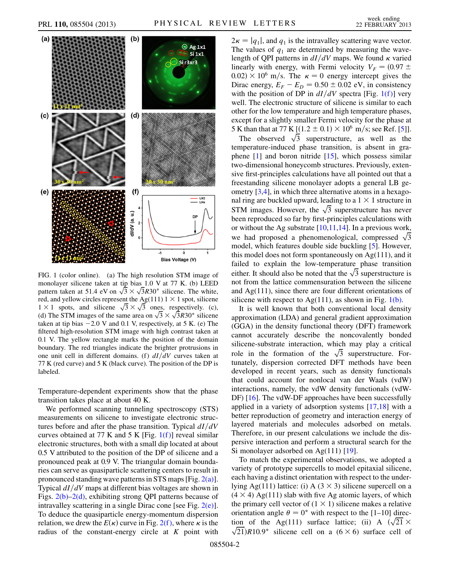

<span id="page-1-0"></span>FIG. 1 (color online). (a) The high resolution STM image of monolayer silicene taken at tip bias 1.0 V at 77 K. (b) LEED monolayer silicene taken at tip bias 1.0 V at 77 K. (b) LEED<br>pattern taken at 51.4 eV on  $\sqrt{3} \times \sqrt{3}R30^{\circ}$  silicene. The white, red, and yellow circles represent the Ag(111)  $1 \times 1$  spot, silicene red, and yellow circles represent the Ag(111)  $1 \times 1$  spot, silicene  $1 \times 1$  spots, and silicene  $\sqrt{3} \times \sqrt{3}$  ones, respectively. (c),  $1 \times 1$  spots, and silicene  $\sqrt{3} \times \sqrt{3}$  ones, respectively. (c), (d) The STM images of the same area on  $\sqrt{3} \times \sqrt{3}R30^{\circ}$  silicene taken at tip bias  $-2.0$  V and 0.1 V, respectively, at 5 K. (e) The filtered high-resolution STM image with high contrast taken at 0.1 V. The yellow rectangle marks the position of the domain boundary. The red triangles indicate the brighter protrusions in one unit cell in different domains. (f)  $dI/dV$  curves taken at 77 K (red curve) and 5 K (black curve). The position of the DP is labeled.

Temperature-dependent experiments show that the phase transition takes place at about 40 K.

We performed scanning tunneling spectroscopy (STS) measurements on silicene to investigate electronic structures before and after the phase transition. Typical  $dI/dV$ curves obtained at 77 K and 5 K [Fig.  $1(f)$ ] reveal similar electronic structures, both with a small dip located at about 0.5 V attributed to the position of the DP of silicene and a pronounced peak at 0.9 V. The triangular domain boundaries can serve as quasiparticle scattering centers to result in pronounced standing wave patterns in STS maps [Fig. [2\(a\)\]](#page-2-0). Typical  $dI/dV$  maps at different bias voltages are shown in Figs. [2\(b\)–2\(d\),](#page-2-0) exhibiting strong QPI patterns because of intravalley scattering in a single Dirac cone [see Fig.  $2(e)$ ]. To deduce the quasiparticle energy-momentum dispersion relation, we drew the  $E(\kappa)$  curve in Fig. 2(f), where  $\kappa$  is the radius of the constant-energy circle at  $K$  point with  $2\kappa = |q_1|$ , and  $q_1$  is the intravalley scattering wave vector. The values of  $q_1$  are determined by measuring the wavelength of QPI patterns in  $dI/dV$  maps. We found  $\kappa$  varied linearly with energy, with Fermi velocity  $V_F = (0.97 \pm 0.97)$  $0.02) \times 10^6$  m/s. The  $\kappa = 0$  energy intercept gives the Dirac energy,  $E_F - E_D = 0.50 \pm 0.02$  eV, in consistency with the position of DP in  $dI/dV$  spectra [Fig. 1(f)] very well. The electronic structure of silicene is similar to each other for the low temperature and high temperature phases, except for a slightly smaller Fermi velocity for the phase at 5 K than that at 77 K [ $(1.2 \pm 0.1) \times 10^6$  m/s; see Ref. [\[5](#page-4-4)]].

S than that at 77 K [(1.2  $\pm$  0.1) × 10° m/s; see Ref. [5]].<br>The observed  $\sqrt{3}$  superstructure, as well as the temperature-induced phase transition, is absent in graphene  $[1]$  $[1]$  $[1]$  and boron nitride  $[15]$ , which possess similar two-dimensional honeycomb structures. Previously, extensive first-principles calculations have all pointed out that a freestanding silicene monolayer adopts a general LB geometry [[3](#page-4-7)[,4\]](#page-4-3), in which three alternative atoms in a hexagonal ring are buckled upward, leading to a  $1 \times 1$  structure in nal ring are buckled upward, leading to a  $1 \times 1$  structure in STM images. However, the  $\sqrt{3}$  superstructure has never been reproduced so far by first-principles calculations with or without the Ag substrate  $[10,11,14]$  $[10,11,14]$  $[10,11,14]$ . In a previous work, or without the Ag substrate [10,11,14]. In a previous work, we had proposed a phenomenological, compressed  $\sqrt{3}$ model, which features double side buckling [[5\]](#page-4-4). However, this model does not form spontaneously on Ag(111), and it failed to explain the low-temperature phase transition failed to explain the low-temperature phase transition either. It should also be noted that the  $\sqrt{3}$  superstructure is not from the lattice commensuration between the silicene and Ag(111), since there are four different orientations of silicene with respect to  $Ag(111)$ , as shown in Fig. [1\(b\).](#page-1-0)

It is well known that both conventional local density approximation (LDA) and general gradient approximation (GGA) in the density functional theory (DFT) framework cannot accurately describe the noncovalently bonded silicene-substrate interaction, which may play a critical silicene-substrate interaction, which may play a critical<br>role in the formation of the  $\sqrt{3}$  superstructure. Fortunately, dispersion corrected DFT methods have been developed in recent years, such as density functionals that could account for nonlocal van der Waals (vdW) interactions, namely, the vdW density functionals (vdW-DF) [[16](#page-4-16)]. The vdW-DF approaches have been successfully applied in a variety of adsorption systems [\[17,](#page-4-17)[18\]](#page-4-18) with a better reproduction of geometry and interaction energy of layered materials and molecules adsorbed on metals. Therefore, in our present calculations we include the dispersive interaction and perform a structural search for the Si monolayer adsorbed on Ag(111) [[19](#page-4-19)].

To match the experimental observations, we adopted a variety of prototype supercells to model epitaxial silicene, each having a distinct orientation with respect to the underlying Ag(111) lattice: (i) A ( $3 \times 3$ ) silicene supercell on a  $(4 \times 4)$  Ag(111) slab with five Ag atomic layers, of which the primary cell vector of  $(1 \times 1)$  silicene makes a relative orientation angle  $\theta = 0^{\circ}$  with respect to the [1–10] direcorientation angle  $\theta = 0^{\circ}$  with respect to the [1-10] direction of the Ag(111) surface lattice; (ii) A  $(\sqrt{21} \times$  $\sqrt{21}$ ) R10.9° silicene cell on a (6  $\times$  6) surface cell of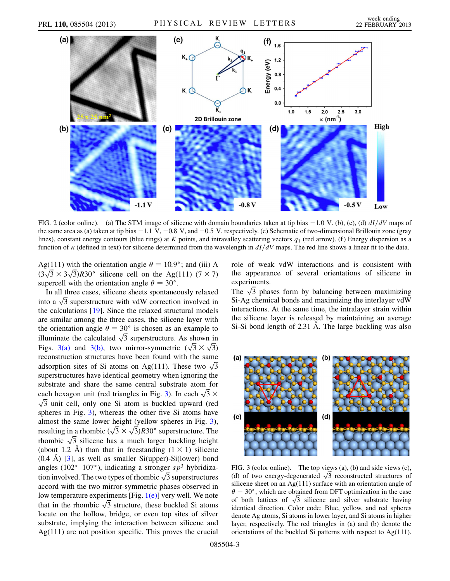

<span id="page-2-0"></span>FIG. 2 (color online). (a) The STM image of silicene with domain boundaries taken at tip bias  $-1.0$  V. (b), (c), (d)  $dI/dV$  maps of the same area as (a) taken at tip bias  $-1.1 \text{ V}$ ,  $-0.8 \text{ V}$ , and  $-0.5 \text{ V}$ , respectively. (e) Schematic of two-dimensional Brillouin zone (gray lines), constant energy contours (blue rings) at K points, and intravalley scattering vectors  $q_1$  (red arrow). (f) Energy dispersion as a function of  $\kappa$  (defined in text) for silicene determined from the wavelength in  $dI/dV$  maps. The red line shows a linear fit to the data.

Ag(111) with the orientation angle  $\theta = 10.9^{\circ}$ ; and (iii) A Ag(111) with the orientation angle  $\theta = 10.9^{\circ}$ ; and (iii) A  $(3\sqrt{3} \times 3\sqrt{3})R30^{\circ}$  silicene cell on the Ag(111) (7 × 7) supercell with the orientation angle  $\theta = 30^{\circ}$ .

In all three cases, silicene sheets spontaneously relaxed In all three cases, silicene sheets spontaneously relaxed<br>into a  $\sqrt{3}$  superstructure with vdW correction involved in the calculations [[19](#page-4-19)]. Since the relaxed structural models are similar among the three cases, the silicene layer with the orientation angle  $\theta = 30^{\circ}$  is chosen as an example to the orientation angle  $\theta = 30^{\circ}$  is chosen as an example to illuminate the calculated  $\sqrt{3}$  superstructure. As shown in illuminate the calculated  $\sqrt{3}$  superstructure. As shown in Figs. [3\(a\)](#page-2-1) and [3\(b\)](#page-2-1), two mirror-symmetric  $(\sqrt{3} \times \sqrt{3})$ reconstruction structures have been found with the same reconstruction structures have been found with the same<br>adsorption sites of Si atoms on Ag(111). These two  $\sqrt{3}$ superstructures have identical geometry when ignoring the substrate and share the same central substrate atom for substrate and share the same central substrate atom for<br>each hexagon unit (red triangles in Fig. [3](#page-2-2)). In each  $\sqrt{3} \times$  $\sqrt{3}$  unit cell, only one Si atom is buckled upward (red spheres in Fig. [3](#page-2-2)), whereas the other five Si atoms have almost the same lower height (yellow spheres in Fig. [3\)](#page-2-2), almost the same lower height (yellow spheres in Fig. 3), resulting in a rhombic  $(\sqrt{3} \times \sqrt{3})R30^{\circ}$  superstructure. The resulting in a rhombic  $(\sqrt{3} \times \sqrt{3})R30^{\circ}$  superstructure. The rhombic  $\sqrt{3}$  silicene has a much larger buckling height (about 1.2 Å) than that in freestanding  $(1 \times 1)$  silicene  $(0.4 \text{ Å})$  [[3](#page-4-7)], as well as smaller Si(upper)-Si(lower) bond angles (102°-107°), indicating a stronger  $sp^3$  hybridizaangles (102°–107°), indicating a stronger  $sp^3$  hybridization involved. The two types of rhombic  $\sqrt{3}$  superstructures accord with the two mirror-symmetric phases observed in low temperature experiments [Fig.  $1(e)$ ] very well. We note low temperature experiments [Fig.  $I(e)$ ] very well. We note that in the rhombic  $\sqrt{3}$  structure, these buckled Si atoms locate on the hollow, bridge, or even top sites of silver substrate, implying the interaction between silicene and Ag(111) are not position specific. This proves the crucial role of weak vdW interactions and is consistent with the appearance of several orientations of silicene in experiments.

experiments.<br>The  $\sqrt{3}$  phases form by balancing between maximizing Si-Ag chemical bonds and maximizing the interlayer vdW interactions. At the same time, the intralayer strain within the silicene layer is released by maintaining an average Si-Si bond length of 2.31 Å. The large buckling was also

<span id="page-2-2"></span>

<span id="page-2-1"></span>FIG. 3 (color online). The top views (a), (b) and side views (c), FIG. 3 (color online). The top views (a), (b) and side views (c), (d) of two energy-degenerated  $\sqrt{3}$  reconstructed structures of silicene sheet on an Ag(111) surface with an orientation angle of  $\theta = 30^{\circ}$ , which are obtained from DFT optimization in the case  $\theta = 30^{\circ}$ , which are obtained from DFT optimization in the case<br>of both lattices of  $\sqrt{3}$  silicene and silver substrate having identical direction. Color code: Blue, yellow, and red spheres denote Ag atoms, Si atoms in lower layer, and Si atoms in higher layer, respectively. The red triangles in (a) and (b) denote the orientations of the buckled Si patterns with respect to Ag(111).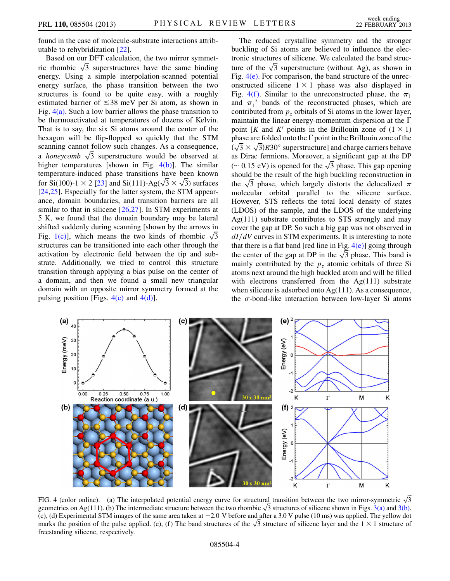found in the case of molecule-substrate interactions attributable to rehybridization [[22\]](#page-4-20).

Based on our DFT calculation, the two mirror symmet-Based on our DFT calculation, the two mirror symmetric rhombic  $\sqrt{3}$  superstructures have the same binding energy. Using a simple interpolation-scanned potential energy surface, the phase transition between the two structures is found to be quite easy, with a roughly estimated barrier of  $\leq 38$  meV per Si atom, as shown in Fig.  $4(a)$ . Such a low barrier allows the phase transition to be thermoactivated at temperatures of dozens of Kelvin. That is to say, the six Si atoms around the center of the hexagon will be flip-flopped so quickly that the STM scanning cannot follow such changes. As a consequence, scanning cannot follow such changes. As a consequence,<br>a *honeycomb*  $\sqrt{3}$  superstructure would be observed at higher temperatures [shown in Fig. [4\(b\)](#page-3-0)]. The similar temperature-induced phase transitions have been known temperature-induced phase transitions have been known<br>for Si(100)-1  $\times$  2 [[23](#page-4-21)] and Si(111)-Ag( $\sqrt{3} \times \sqrt{3}$ ) surfaces [\[24](#page-4-22)[,25\]](#page-4-23). Especially for the latter system, the STM appearance, domain boundaries, and transition barriers are all similar to that in silicene  $[26,27]$  $[26,27]$ . In STM experiments at 5 K, we found that the domain boundary may be lateral shifted suddenly during scanning [shown by the arrows in shifted suddenly during scanning [shown by the arrows in Fig. [1\(c\)](#page-1-0)], which means the two kinds of rhombic  $\sqrt{3}$ structures can be transitioned into each other through the activation by electronic field between the tip and substrate. Additionally, we tried to control this structure transition through applying a bias pulse on the center of a domain, and then we found a small new triangular domain with an opposite mirror symmetry formed at the pulsing position [Figs.  $4(c)$  and  $4(d)$ ].

The reduced crystalline symmetry and the stronger buckling of Si atoms are believed to influence the electronic structures of silicene. We calculated the band structronic structures of silicene. We calculated the band structure of the  $\sqrt{3}$  superstructure (without Ag), as shown in Fig.  $4(e)$ . For comparison, the band structure of the unreconstructed silicene  $1 \times 1$  phase was also displayed in Fig. 4(f). Similar to the unreconstructed phase, the  $\pi_1$ and  $\pi_1^*$  bands of the reconstructed phases, which are contributed from  $p<sub>z</sub>$  orbitals of Si atoms in the lower layer, maintain the linear energy-momentum dispersion at the  $\Gamma$ point [K and K' points in the Brillouin zone of  $(1 \times 1)$ ] phase are folded onto the  $\Gamma$  point in the Brillouin zone of the phase are folded onto the 1 point in the Brillouin zone of the  $(\sqrt{3} \times \sqrt{3})R30^{\circ}$  superstructure] and charge carriers behave as Dirac fermions. Moreover, a significant gap at the DP as Dirac fermions. Moreover, a significant gap at the DP  $(\sim 0.15 \text{ eV})$  is opened for the  $\sqrt{3}$  phase. This gap opening should be the result of the high buckling reconstruction in should be the result of the high buckling reconstruction in<br>the  $\sqrt{3}$  phase, which largely distorts the delocalized  $\pi$ molecular orbital parallel to the silicene surface. However, STS reflects the total local density of states (LDOS) of the sample, and the LDOS of the underlying Ag(111) substrate contributes to STS strongly and may cover the gap at DP. So such a big gap was not observed in  $dI/dV$  curves in STM experiments. It is interesting to note that there is a flat band [red line in Fig.  $4(e)$ ] going through that there is a flat band [red line in Fig.  $4(e)$ ] going through the center of the gap at DP in the  $\sqrt{3}$  phase. This band is mainly contributed by the  $p<sub>z</sub>$  atomic orbitals of three Si atoms next around the high buckled atom and will be filled with electrons transferred from the Ag(111) substrate when silicene is adsorbed onto Ag(111). As a consequence, the  $\sigma$ -bond-like interaction between low-layer Si atoms



<span id="page-3-0"></span>FIG. 4 (color online). (a) The interpolated potential energy curve for structural transition between the two mirror-symmetric  $\sqrt{3}$  geometries on Ag(111). (b) The intermediate structure between the two rhombic  $\sqrt{3}$  s (c), (d) Experimental STM images of the same area taken at  $-2.0$  V before and after a 3.0 V pulse (10 ms) was applied. The yellow dot (c), (d) Experimental STM images of the same area taken at  $-2.0$  V before and after a 3.0 V pulse (10 ms) was applied. The yellow dot marks the position of the pulse applied. (e), (f) The band structures of the  $\sqrt{3}$  s freestanding silicene, respectively.